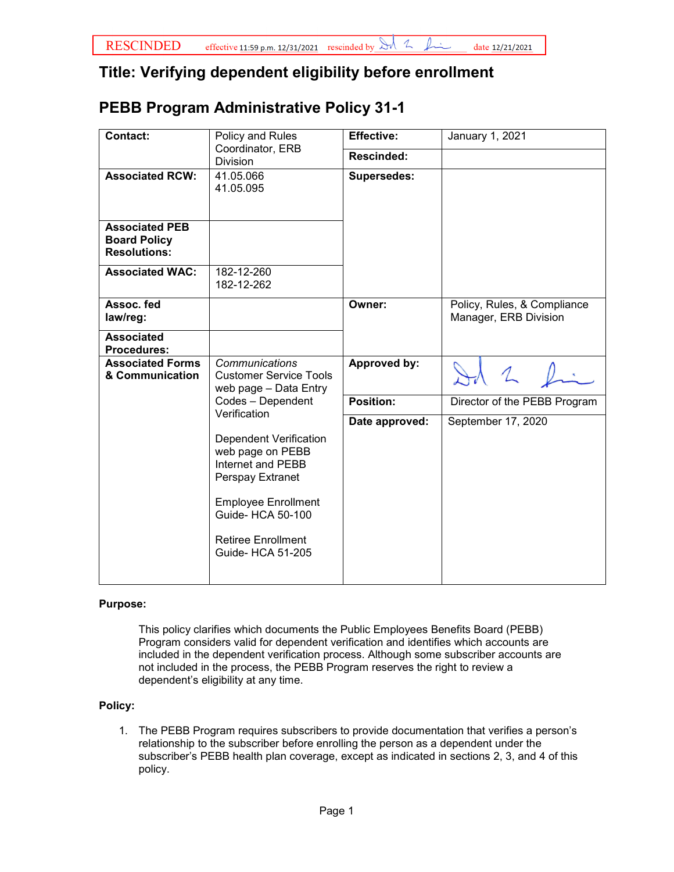## **Title: Verifying dependent eligibility before enrollment**

## **PEBB Program Administrative Policy 31-1**

| Contact:                                                            | Policy and Rules<br>Coordinator, ERB<br><b>Division</b>                                                       | <b>Effective:</b>  | January 1, 2021                                      |
|---------------------------------------------------------------------|---------------------------------------------------------------------------------------------------------------|--------------------|------------------------------------------------------|
|                                                                     |                                                                                                               | Rescinded:         |                                                      |
| <b>Associated RCW:</b>                                              | 41.05.066<br>41.05.095                                                                                        | <b>Supersedes:</b> |                                                      |
| <b>Associated PEB</b><br><b>Board Policy</b><br><b>Resolutions:</b> |                                                                                                               |                    |                                                      |
| <b>Associated WAC:</b>                                              | 182-12-260<br>182-12-262                                                                                      |                    |                                                      |
| Assoc. fed<br>law/reg:                                              |                                                                                                               | Owner:             | Policy, Rules, & Compliance<br>Manager, ERB Division |
| <b>Associated</b><br><b>Procedures:</b>                             |                                                                                                               |                    |                                                      |
| <b>Associated Forms</b><br>& Communication                          | Communications<br><b>Customer Service Tools</b><br>web page - Data Entry<br>Codes - Dependent<br>Verification | Approved by:       |                                                      |
|                                                                     |                                                                                                               | Position:          | Director of the PEBB Program                         |
|                                                                     |                                                                                                               | Date approved:     | September 17, 2020                                   |
|                                                                     | <b>Dependent Verification</b><br>web page on PEBB<br>Internet and PEBB<br>Perspay Extranet                    |                    |                                                      |
|                                                                     | <b>Employee Enrollment</b><br>Guide- HCA 50-100                                                               |                    |                                                      |
|                                                                     | <b>Retiree Enrollment</b><br><b>Guide- HCA 51-205</b>                                                         |                    |                                                      |
|                                                                     |                                                                                                               |                    |                                                      |

## **Purpose:**

This policy clarifies which documents the Public Employees Benefits Board (PEBB) Program considers valid for dependent verification and identifies which accounts are included in the dependent verification process. Although some subscriber accounts are not included in the process, the PEBB Program reserves the right to review a dependent's eligibility at any time.

## **Policy:**

1. The PEBB Program requires subscribers to provide documentation that verifies a person's relationship to the subscriber before enrolling the person as a dependent under the subscriber's PEBB health plan coverage, except as indicated in sections 2, 3, and 4 of this policy.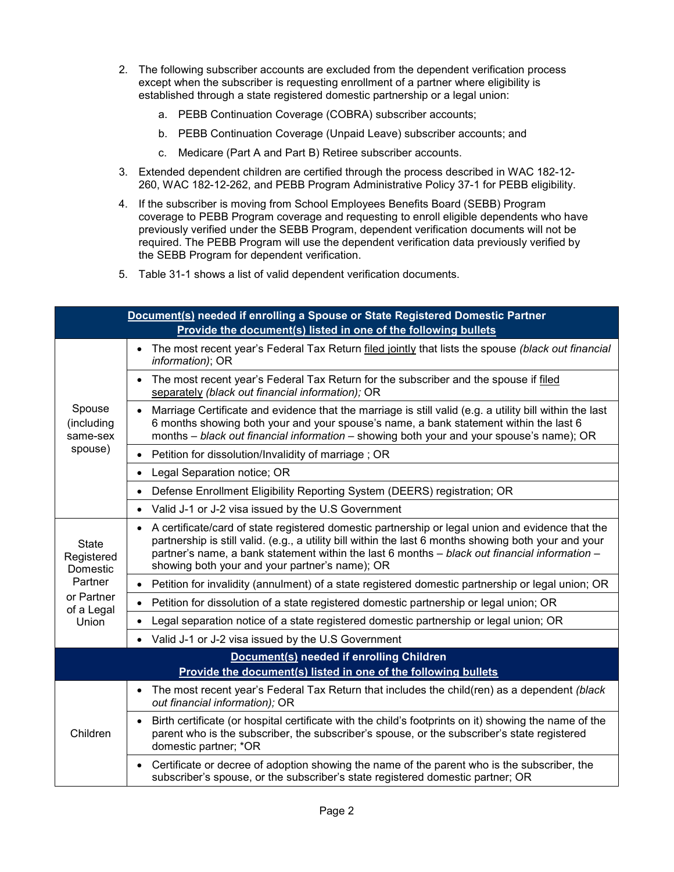- 2. The following subscriber accounts are excluded from the dependent verification process except when the subscriber is requesting enrollment of a partner where eligibility is established through a state registered domestic partnership or a legal union:
	- a. PEBB Continuation Coverage (COBRA) subscriber accounts;
	- b. PEBB Continuation Coverage (Unpaid Leave) subscriber accounts; and
	- c. Medicare (Part A and Part B) Retiree subscriber accounts.
- 3. Extended dependent children are certified through the process described in WAC 182-12- 260, WAC 182-12-262, and PEBB Program Administrative Policy 37-1 for PEBB eligibility.
- 4. If the subscriber is moving from School Employees Benefits Board (SEBB) Program coverage to PEBB Program coverage and requesting to enroll eligible dependents who have previously verified under the SEBB Program, dependent verification documents will not be required. The PEBB Program will use the dependent verification data previously verified by the SEBB Program for dependent verification.
- 5. Table 31-1 shows a list of valid dependent verification documents.

| Document(s) needed if enrolling a Spouse or State Registered Domestic Partner          |                                                                                                                                                                                                                                                                                                                                                                           |  |  |
|----------------------------------------------------------------------------------------|---------------------------------------------------------------------------------------------------------------------------------------------------------------------------------------------------------------------------------------------------------------------------------------------------------------------------------------------------------------------------|--|--|
| Provide the document(s) listed in one of the following bullets                         |                                                                                                                                                                                                                                                                                                                                                                           |  |  |
| Spouse<br>(including<br>same-sex<br>spouse)                                            | The most recent year's Federal Tax Return filed jointly that lists the spouse (black out financial<br>$\bullet$<br>information); OR                                                                                                                                                                                                                                       |  |  |
|                                                                                        | The most recent year's Federal Tax Return for the subscriber and the spouse if filed<br>$\bullet$<br>separately (black out financial information); OR                                                                                                                                                                                                                     |  |  |
|                                                                                        | Marriage Certificate and evidence that the marriage is still valid (e.g. a utility bill within the last<br>6 months showing both your and your spouse's name, a bank statement within the last 6<br>months - black out financial information - showing both your and your spouse's name); OR                                                                              |  |  |
|                                                                                        | Petition for dissolution/Invalidity of marriage; OR<br>$\bullet$                                                                                                                                                                                                                                                                                                          |  |  |
|                                                                                        | Legal Separation notice; OR<br>$\bullet$                                                                                                                                                                                                                                                                                                                                  |  |  |
|                                                                                        | Defense Enrollment Eligibility Reporting System (DEERS) registration; OR<br>$\bullet$                                                                                                                                                                                                                                                                                     |  |  |
|                                                                                        | Valid J-1 or J-2 visa issued by the U.S Government                                                                                                                                                                                                                                                                                                                        |  |  |
| <b>State</b><br>Registered<br>Domestic<br>Partner<br>or Partner<br>of a Legal<br>Union | A certificate/card of state registered domestic partnership or legal union and evidence that the<br>$\bullet$<br>partnership is still valid. (e.g., a utility bill within the last 6 months showing both your and your<br>partner's name, a bank statement within the last 6 months - black out financial information -<br>showing both your and your partner's name); OR |  |  |
|                                                                                        | Petition for invalidity (annulment) of a state registered domestic partnership or legal union; OR<br>$\bullet$                                                                                                                                                                                                                                                            |  |  |
|                                                                                        | Petition for dissolution of a state registered domestic partnership or legal union; OR                                                                                                                                                                                                                                                                                    |  |  |
|                                                                                        | Legal separation notice of a state registered domestic partnership or legal union; OR<br>$\bullet$                                                                                                                                                                                                                                                                        |  |  |
|                                                                                        | • Valid J-1 or J-2 visa issued by the U.S Government                                                                                                                                                                                                                                                                                                                      |  |  |
| Document(s) needed if enrolling Children                                               |                                                                                                                                                                                                                                                                                                                                                                           |  |  |
| Provide the document(s) listed in one of the following bullets                         |                                                                                                                                                                                                                                                                                                                                                                           |  |  |
| Children                                                                               | The most recent year's Federal Tax Return that includes the child(ren) as a dependent (black<br>$\bullet$<br>out financial information); OR                                                                                                                                                                                                                               |  |  |
|                                                                                        | Birth certificate (or hospital certificate with the child's footprints on it) showing the name of the<br>parent who is the subscriber, the subscriber's spouse, or the subscriber's state registered<br>domestic partner; *OR                                                                                                                                             |  |  |
|                                                                                        | Certificate or decree of adoption showing the name of the parent who is the subscriber, the<br>subscriber's spouse, or the subscriber's state registered domestic partner; OR                                                                                                                                                                                             |  |  |